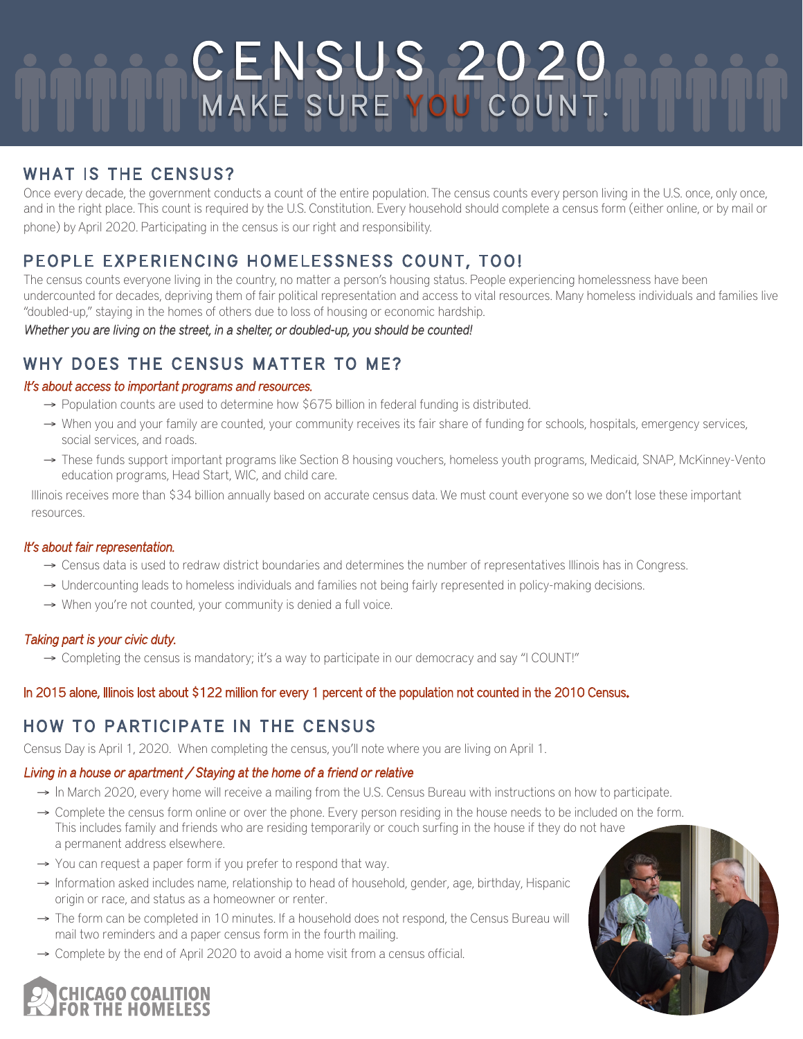# CENSUS 2020 MAKE SURE YOU COUNT.

# WHAT IS THE CENSUS?

Once every decade, the government conducts a count of the entire population. The census counts every person living in the U.S. once, only once, and in the right place. This count is required by the U.S. Constitution. Every household should complete a census form (either online, or by mail or phone) by April 2020. Participating in the census is our right and responsibility.

# PEOPLE EXPERIENCING HOMELESSNESS COUNT, TOO!

The census counts everyone living in the country, no matter a person's housing status. People experiencing homelessness have been undercounted for decades, depriving them of fair political representation and access to vital resources. Many homeless individuals and families live "doubled-up," staying in the homes of others due to loss of housing or economic hardship.

Whether you are living on the street, in a shelter, or doubled-up, you should be counted!

# WHY DOES THE CENSUS MATTER TO ME?

## It's about access to important programs and resources.

- → Population counts are used to determine how \$675 billion in federal funding is distributed.
- → When you and your family are counted, your community receives its fair share of funding for schools, hospitals, emergency services, social services, and roads.
- → These funds support important programs like Section 8 housing vouchers, homeless youth programs, Medicaid, SNAP, McKinney-Vento education programs, Head Start, WIC, and child care.

Illinois receives more than \$34 billion annually based on accurate census data. We must count everyone so we don't lose these important resources.

## It's about fair representation.

- → Census data is used to redraw district boundaries and determines the number of representatives Illinois has in Congress.
- → Undercounting leads to homeless individuals and families not being fairly represented in policy-making decisions.
- → When you're not counted, your community is denied a full voice.

## Taking part is your civic duty.

→ Completing the census is mandatory; it's a way to participate in our democracy and say "I COUNT!"

## In 2015 alone, Illinois lost about \$122 million for every 1 percent of the population not counted in the 2010 Census.

# HOW TO PARTICIPATE IN THE CENSUS

Census Day is April 1, 2020. When completing the census, you'll note where you are living on April 1.

# Living in a house or apartment / Staying at the home of a friend or relative

- → In March 2020, every home will receive a mailing from the U.S. Census Bureau with instructions on how to participate.
- → Complete the census form online or over the phone. Every person residing in the house needs to be included on the form. This includes family and friends who are residing temporarily or couch surfing in the house if they do not have a permanent address elsewhere.
- → You can request a paper form if you prefer to respond that way.
- → Information asked includes name, relationship to head of household, gender, age, birthday, Hispanic origin or race, and status as a homeowner or renter.
- $\rightarrow$  The form can be completed in 10 minutes. If a household does not respond, the Census Bureau will mail two reminders and a paper census form in the fourth mailing.
- $\rightarrow$  Complete by the end of April 2020 to avoid a home visit from a census official.